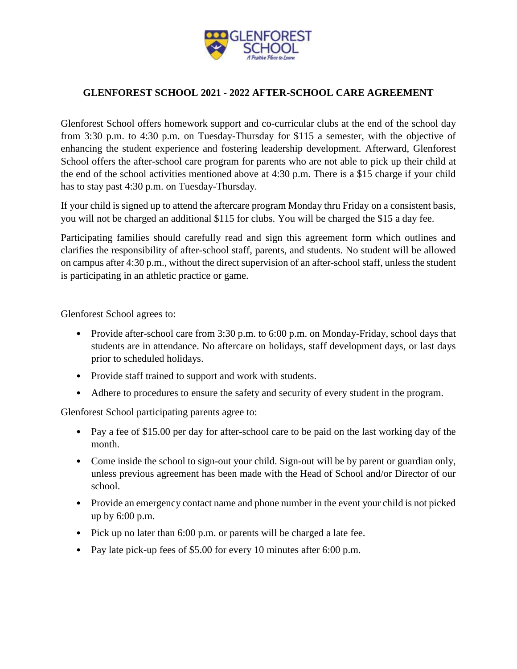

## **GLENFOREST SCHOOL 2021 - 2022 AFTER-SCHOOL CARE AGREEMENT**

Glenforest School offers homework support and co-curricular clubs at the end of the school day from 3:30 p.m. to 4:30 p.m. on Tuesday-Thursday for \$115 a semester, with the objective of enhancing the student experience and fostering leadership development. Afterward, Glenforest School offers the after-school care program for parents who are not able to pick up their child at the end of the school activities mentioned above at 4:30 p.m. There is a \$15 charge if your child has to stay past 4:30 p.m. on Tuesday-Thursday.

If your child is signed up to attend the aftercare program Monday thru Friday on a consistent basis, you will not be charged an additional \$115 for clubs. You will be charged the \$15 a day fee.

Participating families should carefully read and sign this agreement form which outlines and clarifies the responsibility of after-school staff, parents, and students. No student will be allowed on campus after 4:30 p.m., without the direct supervision of an after-school staff, unless the student is participating in an athletic practice or game.

Glenforest School agrees to:

- Provide after-school care from 3:30 p.m. to 6:00 p.m. on Monday-Friday, school days that students are in attendance. No aftercare on holidays, staff development days, or last days prior to scheduled holidays.
- Provide staff trained to support and work with students.
- Adhere to procedures to ensure the safety and security of every student in the program.

Glenforest School participating parents agree to:

- Pay a fee of \$15.00 per day for after-school care to be paid on the last working day of the month.
- Come inside the school to sign-out your child. Sign-out will be by parent or guardian only, unless previous agreement has been made with the Head of School and/or Director of our school.
- Provide an emergency contact name and phone number in the event your child is not picked up by 6:00 p.m.
- Pick up no later than 6:00 p.m. or parents will be charged a late fee.
- Pay late pick-up fees of \$5.00 for every 10 minutes after 6:00 p.m.